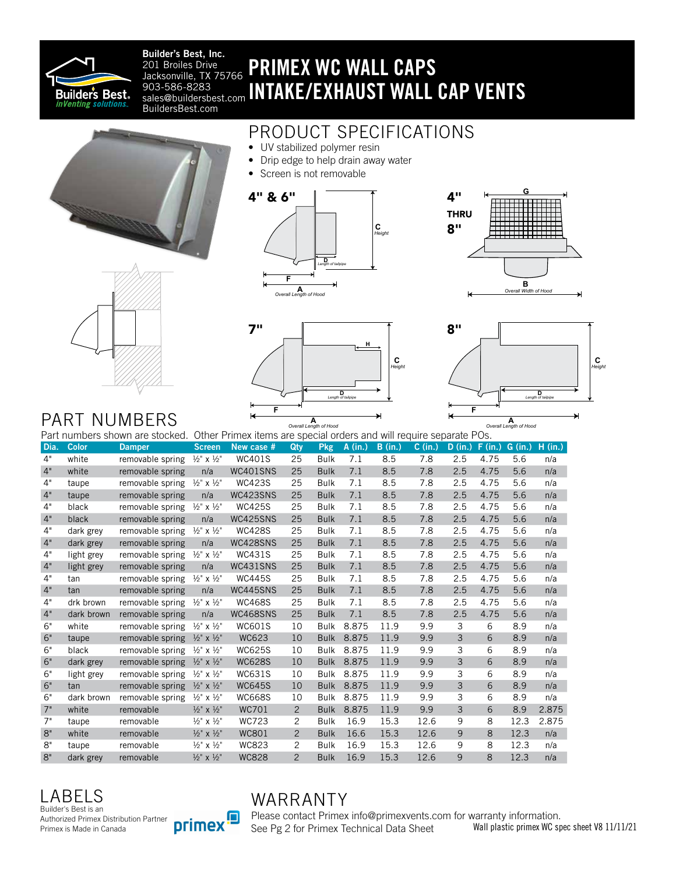

Builder's Best, Inc. 201 Broiles Drive Jacksonville, TX 75766 sales@buildersbest.com BuildersBest.com

# PRIMEX WC WALL CAPS 903-586-8283 **INTAKE/EXHAUST WALL CAP VENTS**

### PRODUCT SPECIFICATIONS

- UV stabilized polymer resin
- Drip edge to help drain away water
- Screen is not removable













## PART NUMBERS

Dia. Color Damper Screen New case # Qty Pkg A (in.) B (in.) C (in.) D (in.) F (in.) G (in.) H (in.) 4" white removable spring ½" x ½" WC401S 25 Bulk 7.1 8.5 7.8 2.5 4.75 5.6 n/a 4" white removable spring n/a WC401SNS 25 Bulk 7.1 8.5 7.8 2.5 4.75 5.6 n/a 4" taupe removable spring ½" x ½" WC423S 25 Bulk 7.1 8.5 7.8 2.5 4.75 5.6 n/a 4" taupe removable spring n/a WC423SNS 25 Bulk 7.1 8.5 7.8 2.5 4.75 5.6 n/a 4" black removable spring ½" x ½" WC425S 25 Bulk 7.1 8.5 7.8 2.5 4.75 5.6 n/a 4" black removable spring n/a WC425SNS 25 Bulk 7.1 8.5 7.8 2.5 4.75 5.6 n/a 4" dark grey removable spring ½" x ½" WC428S 25 Bulk 7.1 8.5 7.8 2.5 4.75 5.6 n/a 4" dark grey removable spring n/a WC428SNS 25 Bulk 7.1 8.5 7.8 2.5 4.75 5.6 n/a 4" light grey removable spring ½" x ½" WC431S 25 Bulk 7.1 8.5 7.8 2.5 4.75 5.6 n/a 4" light grey removable spring n/a WC431SNS 25 Bulk 7.1 8.5 7.8 2.5 4.75 5.6 n/a 4" tan removable spring ½" x ½" WC445S 25 Bulk 7.1 8.5 7.8 2.5 4.75 5.6 n/a 4" tan removable spring n/a WC445SNS 25 Bulk 7.1 8.5 7.8 2.5 4.75 5.6 n/a 4" drk brown removable spring ½" x ½" WC468S 25 Bulk 7.1 8.5 7.8 2.5 4.75 5.6 n/a 4" dark brown removable spring n/a WC468SNS 25 Bulk 7.1 8.5 7.8 2.5 4.75 5.6 n/a 6" white removable spring ½" x ½" WC601S 10 Bulk 8.875 11.9 9.9 3 6 8.9 n/a 6" taupe removable spring ½" x ½" WC623 10 Bulk 8.875 11.9 9.9 3 6 8.9 n/a 6" black removable spring ½" x ½" WC625S 10 Bulk 8.875 11.9 9.9 3 6 8.9 n/a 6" dark grey removable spring ½" x ½" WC628S 10 Bulk 8.875 11.9 9.9 3 6 8.9 n/a 6" light grey removable spring ½" x ½" WC631S 10 Bulk 8.875 11.9 9.9 3 6 8.9 n/a 6" tan removable spring ½" x ½" WC645S 10 Bulk 8.875 11.9 9.9 3 6 8.9 n/a 6" dark brown removable spring ½" x ½" WC668S 10 Bulk 8.875 11.9 9.9 3 6 8.9 n/a 7" white removable ½" x ½" WC701 2 Bulk 8.875 11.9 9.9 3 6 8.9 2.875 7" taupe removable ½" x ½" WC723 2 Bulk 16.9 15.3 12.6 9 8 12.3 2.875 8" white removable ½" x ½" WC801 2 Bulk 16.6 15.3 12.6 9 8 12.3 n/a 8" taupe removable ½" x ½" WC823 2 Bulk 16.9 15.3 12.6 9 8 12.3 n/a 8" dark grey removable ½" x ½" WC828 2 Bulk 16.9 15.3 12.6 9 8 12.3 n/a Part numbers shown are stocked. Other Primex items are special orders and will require separate POs.<br>Dia. Color Damper\_Coreen\_New case # Qty Pkg A (in.) B (in.) D (in.) P (in.) F (i

LABELS Builder's Best is an Authorized Primex Distribution Partner Primex is Made in Canada



### WARRANTY

Please contact Primex info@primexvents.com for warranty information. See Pg 2 for Primex Technical Data Sheet Wall plastic primex WC spec sheet V8 11/11/21